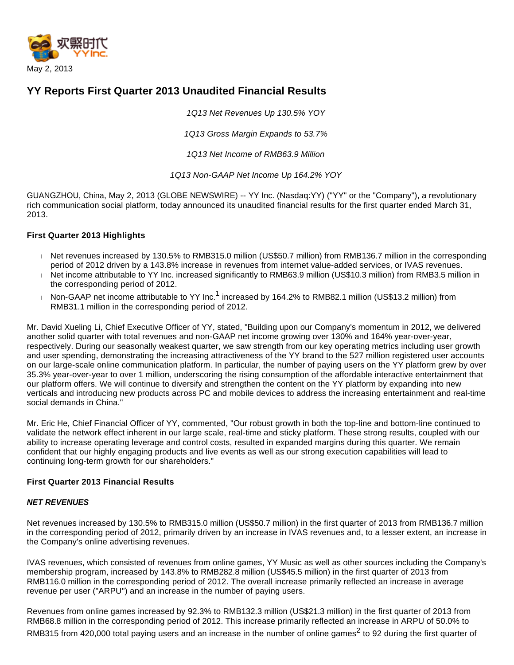

# **YY Reports First Quarter 2013 Unaudited Financial Results**

1Q13 Net Revenues Up 130.5% YOY

1Q13 Gross Margin Expands to 53.7%

1Q13 Net Income of RMB63.9 Million

1Q13 Non-GAAP Net Income Up 164.2% YOY

GUANGZHOU, China, May 2, 2013 (GLOBE NEWSWIRE) -- YY Inc. (Nasdaq:YY) ("YY" or the "Company"), a revolutionary rich communication social platform, today announced its unaudited financial results for the first quarter ended March 31, 2013.

### **First Quarter 2013 Highlights**

- Net revenues increased by 130.5% to RMB315.0 million (US\$50.7 million) from RMB136.7 million in the corresponding period of 2012 driven by a 143.8% increase in revenues from internet value-added services, or IVAS revenues. ■ Net income attributable to YY Inc. increased significantly to RMB63.9 million (US\$10.3 million) from RMB3.5 million in the corresponding period of 2012.
- $\blacksquare$  Non-GAAP net income attributable to YY Inc.<sup>1</sup> increased by 164.2% to RMB82.1 million (US\$13.2 million) from RMB31.1 million in the corresponding period of 2012.

Mr. David Xueling Li, Chief Executive Officer of YY, stated, "Building upon our Company's momentum in 2012, we delivered another solid quarter with total revenues and non-GAAP net income growing over 130% and 164% year-over-year, respectively. During our seasonally weakest quarter, we saw strength from our key operating metrics including user growth and user spending, demonstrating the increasing attractiveness of the YY brand to the 527 million registered user accounts on our large-scale online communication platform. In particular, the number of paying users on the YY platform grew by over 35.3% year-over-year to over 1 million, underscoring the rising consumption of the affordable interactive entertainment that our platform offers. We will continue to diversify and strengthen the content on the YY platform by expanding into new verticals and introducing new products across PC and mobile devices to address the increasing entertainment and real-time social demands in China."

Mr. Eric He, Chief Financial Officer of YY, commented, "Our robust growth in both the top-line and bottom-line continued to validate the network effect inherent in our large scale, real-time and sticky platform. These strong results, coupled with our ability to increase operating leverage and control costs, resulted in expanded margins during this quarter. We remain confident that our highly engaging products and live events as well as our strong execution capabilities will lead to continuing long-term growth for our shareholders."

#### **First Quarter 2013 Financial Results**

#### **NET REVENUES**

Net revenues increased by 130.5% to RMB315.0 million (US\$50.7 million) in the first quarter of 2013 from RMB136.7 million in the corresponding period of 2012, primarily driven by an increase in IVAS revenues and, to a lesser extent, an increase in the Company's online advertising revenues.

IVAS revenues, which consisted of revenues from online games, YY Music as well as other sources including the Company's membership program, increased by 143.8% to RMB282.8 million (US\$45.5 million) in the first quarter of 2013 from RMB116.0 million in the corresponding period of 2012. The overall increase primarily reflected an increase in average revenue per user ("ARPU") and an increase in the number of paying users.

Revenues from online games increased by 92.3% to RMB132.3 million (US\$21.3 million) in the first quarter of 2013 from RMB68.8 million in the corresponding period of 2012. This increase primarily reflected an increase in ARPU of 50.0% to RMB315 from 420,000 total paying users and an increase in the number of online games<sup>2</sup> to 92 during the first quarter of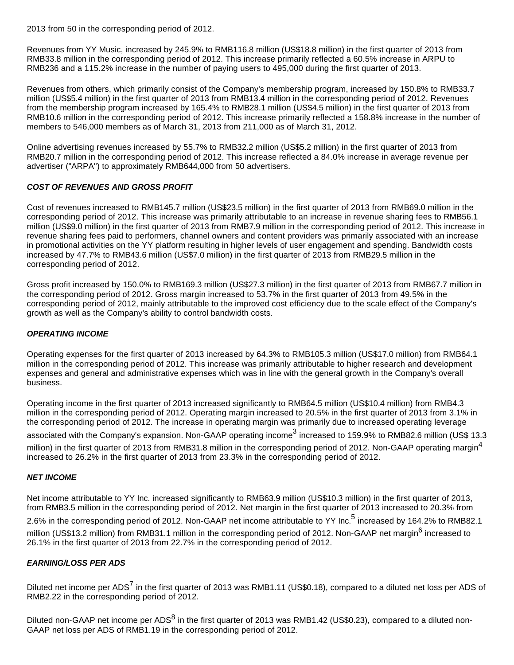2013 from 50 in the corresponding period of 2012.

Revenues from YY Music, increased by 245.9% to RMB116.8 million (US\$18.8 million) in the first quarter of 2013 from RMB33.8 million in the corresponding period of 2012. This increase primarily reflected a 60.5% increase in ARPU to RMB236 and a 115.2% increase in the number of paying users to 495,000 during the first quarter of 2013.

Revenues from others, which primarily consist of the Company's membership program, increased by 150.8% to RMB33.7 million (US\$5.4 million) in the first quarter of 2013 from RMB13.4 million in the corresponding period of 2012. Revenues from the membership program increased by 165.4% to RMB28.1 million (US\$4.5 million) in the first quarter of 2013 from RMB10.6 million in the corresponding period of 2012. This increase primarily reflected a 158.8% increase in the number of members to 546,000 members as of March 31, 2013 from 211,000 as of March 31, 2012.

Online advertising revenues increased by 55.7% to RMB32.2 million (US\$5.2 million) in the first quarter of 2013 from RMB20.7 million in the corresponding period of 2012. This increase reflected a 84.0% increase in average revenue per advertiser ("ARPA") to approximately RMB644,000 from 50 advertisers.

#### **COST OF REVENUES AND GROSS PROFIT**

Cost of revenues increased to RMB145.7 million (US\$23.5 million) in the first quarter of 2013 from RMB69.0 million in the corresponding period of 2012. This increase was primarily attributable to an increase in revenue sharing fees to RMB56.1 million (US\$9.0 million) in the first quarter of 2013 from RMB7.9 million in the corresponding period of 2012. This increase in revenue sharing fees paid to performers, channel owners and content providers was primarily associated with an increase in promotional activities on the YY platform resulting in higher levels of user engagement and spending. Bandwidth costs increased by 47.7% to RMB43.6 million (US\$7.0 million) in the first quarter of 2013 from RMB29.5 million in the corresponding period of 2012.

Gross profit increased by 150.0% to RMB169.3 million (US\$27.3 million) in the first quarter of 2013 from RMB67.7 million in the corresponding period of 2012. Gross margin increased to 53.7% in the first quarter of 2013 from 49.5% in the corresponding period of 2012, mainly attributable to the improved cost efficiency due to the scale effect of the Company's growth as well as the Company's ability to control bandwidth costs.

#### **OPERATING INCOME**

Operating expenses for the first quarter of 2013 increased by 64.3% to RMB105.3 million (US\$17.0 million) from RMB64.1 million in the corresponding period of 2012. This increase was primarily attributable to higher research and development expenses and general and administrative expenses which was in line with the general growth in the Company's overall business.

Operating income in the first quarter of 2013 increased significantly to RMB64.5 million (US\$10.4 million) from RMB4.3 million in the corresponding period of 2012. Operating margin increased to 20.5% in the first quarter of 2013 from 3.1% in the corresponding period of 2012. The increase in operating margin was primarily due to increased operating leverage

associated with the Company's expansion. Non-GAAP operating income $^3$  increased to 159.9% to RMB82.6 million (US\$ 13.3 million) in the first quarter of 2013 from RMB31.8 million in the corresponding period of 2012. Non-GAAP operating margin<sup>4</sup> increased to 26.2% in the first quarter of 2013 from 23.3% in the corresponding period of 2012.

#### **NET INCOME**

Net income attributable to YY Inc. increased significantly to RMB63.9 million (US\$10.3 million) in the first quarter of 2013, from RMB3.5 million in the corresponding period of 2012. Net margin in the first quarter of 2013 increased to 20.3% from 2.6% in the corresponding period of 2012. Non-GAAP net income attributable to YY Inc.<sup>5</sup> increased by 164.2% to RMB82.1 million (US\$13.2 million) from RMB31.1 million in the corresponding period of 2012. Non-GAAP net margin<sup>6</sup> increased to 26.1% in the first quarter of 2013 from 22.7% in the corresponding period of 2012.

### **EARNING/LOSS PER ADS**

Diluted net income per ADS<sup>7</sup> in the first quarter of 2013 was RMB1.11 (US\$0.18), compared to a diluted net loss per ADS of RMB2.22 in the corresponding period of 2012.

Diluted non-GAAP net income per ADS<sup>8</sup> in the first quarter of 2013 was RMB1.42 (US\$0.23), compared to a diluted non-GAAP net loss per ADS of RMB1.19 in the corresponding period of 2012.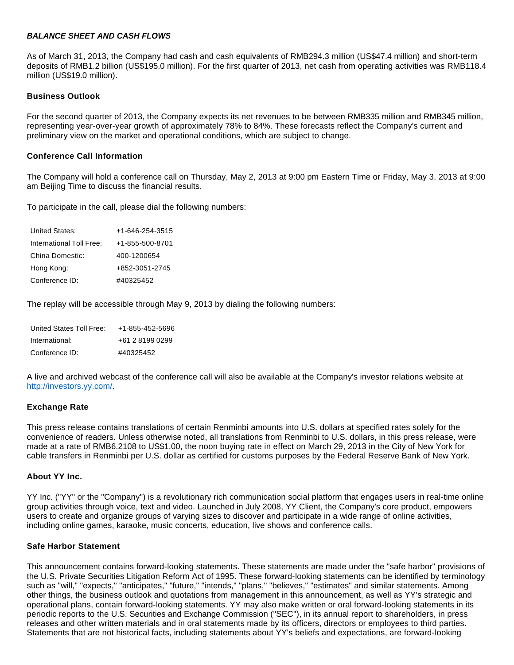#### **BALANCE SHEET AND CASH FLOWS**

As of March 31, 2013, the Company had cash and cash equivalents of RMB294.3 million (US\$47.4 million) and short-term deposits of RMB1.2 billion (US\$195.0 million). For the first quarter of 2013, net cash from operating activities was RMB118.4 million (US\$19.0 million).

#### **Business Outlook**

For the second quarter of 2013, the Company expects its net revenues to be between RMB335 million and RMB345 million, representing year-over-year growth of approximately 78% to 84%. These forecasts reflect the Company's current and preliminary view on the market and operational conditions, which are subject to change.

#### **Conference Call Information**

The Company will hold a conference call on Thursday, May 2, 2013 at 9:00 pm Eastern Time or Friday, May 3, 2013 at 9:00 am Beijing Time to discuss the financial results.

To participate in the call, please dial the following numbers:

| United States:           | $+1 - 646 - 254 - 3515$ |
|--------------------------|-------------------------|
| International Toll Free: | +1-855-500-8701         |
| China Domestic:          | 400-1200654             |
| Hong Kong:               | +852-3051-2745          |
| Conference ID:           | #40325452               |

The replay will be accessible through May 9, 2013 by dialing the following numbers:

| United States Toll Free: | +1-855-452-5696 |
|--------------------------|-----------------|
| International:           | +61 2 8199 0299 |
| Conference ID:           | #40325452       |

A live and archived webcast of the conference call will also be available at the Company's investor relations website at [http://investors.yy.com/.](http://www.globenewswire.com/newsroom/ctr?d=10031136&l=36&u=http%3A%2F%2Finvestors.yy.com%2F)

#### **Exchange Rate**

This press release contains translations of certain Renminbi amounts into U.S. dollars at specified rates solely for the convenience of readers. Unless otherwise noted, all translations from Renminbi to U.S. dollars, in this press release, were made at a rate of RMB6.2108 to US\$1.00, the noon buying rate in effect on March 29, 2013 in the City of New York for cable transfers in Renminbi per U.S. dollar as certified for customs purposes by the Federal Reserve Bank of New York.

#### **About YY Inc.**

YY Inc. ("YY" or the "Company") is a revolutionary rich communication social platform that engages users in real-time online group activities through voice, text and video. Launched in July 2008, YY Client, the Company's core product, empowers users to create and organize groups of varying sizes to discover and participate in a wide range of online activities, including online games, karaoke, music concerts, education, live shows and conference calls.

#### **Safe Harbor Statement**

This announcement contains forward-looking statements. These statements are made under the "safe harbor" provisions of the U.S. Private Securities Litigation Reform Act of 1995. These forward-looking statements can be identified by terminology such as "will," "expects," "anticipates," "future," "intends," "plans," "believes," "estimates" and similar statements. Among other things, the business outlook and quotations from management in this announcement, as well as YY's strategic and operational plans, contain forward-looking statements. YY may also make written or oral forward-looking statements in its periodic reports to the U.S. Securities and Exchange Commission ("SEC"), in its annual report to shareholders, in press releases and other written materials and in oral statements made by its officers, directors or employees to third parties. Statements that are not historical facts, including statements about YY's beliefs and expectations, are forward-looking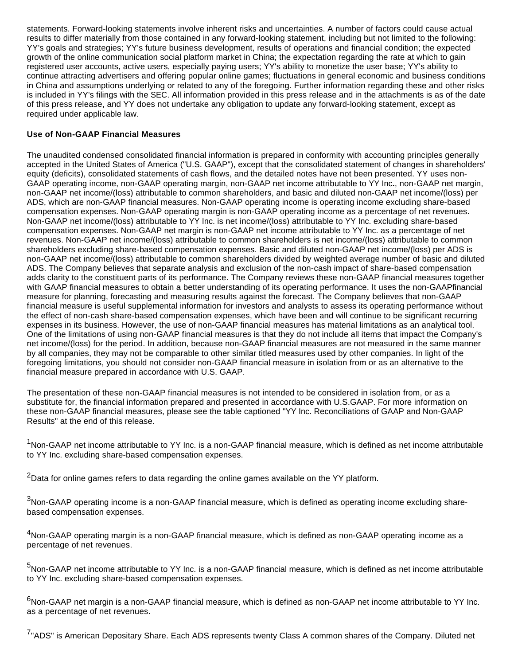statements. Forward-looking statements involve inherent risks and uncertainties. A number of factors could cause actual results to differ materially from those contained in any forward-looking statement, including but not limited to the following: YY's goals and strategies; YY's future business development, results of operations and financial condition; the expected growth of the online communication social platform market in China; the expectation regarding the rate at which to gain registered user accounts, active users, especially paying users; YY's ability to monetize the user base; YY's ability to continue attracting advertisers and offering popular online games; fluctuations in general economic and business conditions in China and assumptions underlying or related to any of the foregoing. Further information regarding these and other risks is included in YY's filings with the SEC. All information provided in this press release and in the attachments is as of the date of this press release, and YY does not undertake any obligation to update any forward-looking statement, except as required under applicable law.

## **Use of Non-GAAP Financial Measures**

The unaudited condensed consolidated financial information is prepared in conformity with accounting principles generally accepted in the United States of America ("U.S. GAAP"), except that the consolidated statement of changes in shareholders' equity (deficits), consolidated statements of cash flows, and the detailed notes have not been presented. YY uses non-GAAP operating income, non-GAAP operating margin, non-GAAP net income attributable to YY Inc**.**, non-GAAP net margin, non-GAAP net income/(loss) attributable to common shareholders, and basic and diluted non-GAAP net income/(loss) per ADS, which are non-GAAP financial measures. Non-GAAP operating income is operating income excluding share-based compensation expenses. Non-GAAP operating margin is non-GAAP operating income as a percentage of net revenues. Non-GAAP net income/(loss) attributable to YY Inc. is net income/(loss) attributable to YY Inc. excluding share-based compensation expenses. Non-GAAP net margin is non-GAAP net income attributable to YY Inc. as a percentage of net revenues. Non-GAAP net income/(loss) attributable to common shareholders is net income/(loss) attributable to common shareholders excluding share-based compensation expenses. Basic and diluted non-GAAP net income/(loss) per ADS is non-GAAP net income/(loss) attributable to common shareholders divided by weighted average number of basic and diluted ADS. The Company believes that separate analysis and exclusion of the non-cash impact of share-based compensation adds clarity to the constituent parts of its performance. The Company reviews these non-GAAP financial measures together with GAAP financial measures to obtain a better understanding of its operating performance. It uses the non-GAAPfinancial measure for planning, forecasting and measuring results against the forecast. The Company believes that non-GAAP financial measure is useful supplemental information for investors and analysts to assess its operating performance without the effect of non-cash share-based compensation expenses, which have been and will continue to be significant recurring expenses in its business. However, the use of non-GAAP financial measures has material limitations as an analytical tool. One of the limitations of using non-GAAP financial measures is that they do not include all items that impact the Company's net income/(loss) for the period. In addition, because non-GAAP financial measures are not measured in the same manner by all companies, they may not be comparable to other similar titled measures used by other companies. In light of the foregoing limitations, you should not consider non-GAAP financial measure in isolation from or as an alternative to the financial measure prepared in accordance with U.S. GAAP.

The presentation of these non-GAAP financial measures is not intended to be considered in isolation from, or as a substitute for, the financial information prepared and presented in accordance with U.S.GAAP. For more information on these non-GAAP financial measures, please see the table captioned "YY Inc. Reconciliations of GAAP and Non-GAAP Results" at the end of this release.

<sup>1</sup>Non-GAAP net income attributable to YY Inc. is a non-GAAP financial measure, which is defined as net income attributable to YY Inc. excluding share-based compensation expenses.

 $2$ Data for online games refers to data regarding the online games available on the YY platform.

 $3$ Non-GAAP operating income is a non-GAAP financial measure, which is defined as operating income excluding sharebased compensation expenses.

<sup>4</sup>Non-GAAP operating margin is a non-GAAP financial measure, which is defined as non-GAAP operating income as a percentage of net revenues.

<sup>5</sup>Non-GAAP net income attributable to YY Inc. is a non-GAAP financial measure, which is defined as net income attributable to YY Inc. excluding share-based compensation expenses.

<sup>6</sup>Non-GAAP net margin is a non-GAAP financial measure, which is defined as non-GAAP net income attributable to YY Inc. as a percentage of net revenues.

<sup>7</sup>"ADS" is American Depositary Share. Each ADS represents twenty Class A common shares of the Company. Diluted net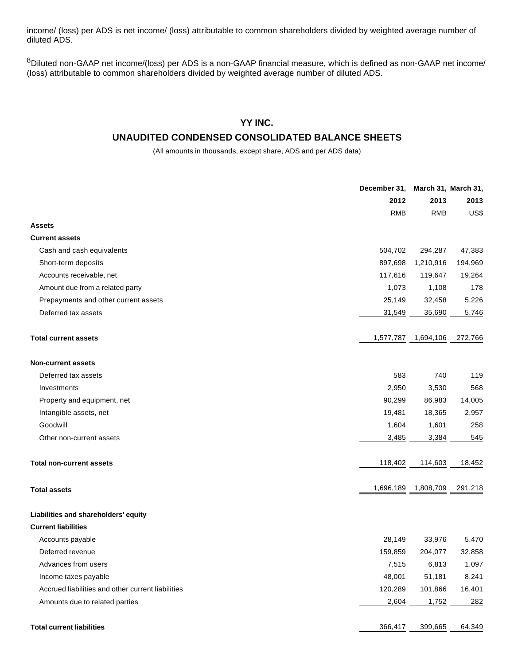income/ (loss) per ADS is net income/ (loss) attributable to common shareholders divided by weighted average number of diluted ADS.

 $8$ Diluted non-GAAP net income/(loss) per ADS is a non-GAAP financial measure, which is defined as non-GAAP net income/ (loss) attributable to common shareholders divided by weighted average number of diluted ADS.

## **YY INC.**

#### **UNAUDITED CONDENSED CONSOLIDATED BALANCE SHEETS**

(All amounts in thousands, except share, ADS and per ADS data)

|                                                   | December 31, March 31, March 31, |            |         |
|---------------------------------------------------|----------------------------------|------------|---------|
|                                                   | 2012                             | 2013       | 2013    |
|                                                   | <b>RMB</b>                       | <b>RMB</b> | US\$    |
| <b>Assets</b>                                     |                                  |            |         |
| <b>Current assets</b>                             |                                  |            |         |
| Cash and cash equivalents                         | 504,702                          | 294,287    | 47,383  |
| Short-term deposits                               | 897,698                          | 1,210,916  | 194,969 |
| Accounts receivable, net                          | 117,616                          | 119,647    | 19,264  |
| Amount due from a related party                   | 1,073                            | 1,108      | 178     |
| Prepayments and other current assets              | 25,149                           | 32,458     | 5,226   |
| Deferred tax assets                               | 31,549                           | 35,690     | 5,746   |
| <b>Total current assets</b>                       | 1,577,787                        | 1,694,106  | 272,766 |
| Non-current assets                                |                                  |            |         |
| Deferred tax assets                               | 583                              | 740        | 119     |
| Investments                                       | 2,950                            | 3,530      | 568     |
| Property and equipment, net                       | 90,299                           | 86,983     | 14,005  |
| Intangible assets, net                            | 19,481                           | 18,365     | 2,957   |
| Goodwill                                          | 1,604                            | 1,601      | 258     |
| Other non-current assets                          | 3,485                            | 3,384      | 545     |
| <b>Total non-current assets</b>                   | 118,402                          | 114,603    | 18,452  |
| <b>Total assets</b>                               | 1,696,189                        | 1,808,709  | 291,218 |
| Liabilities and shareholders' equity              |                                  |            |         |
| <b>Current liabilities</b>                        |                                  |            |         |
| Accounts payable                                  | 28,149                           | 33,976     | 5,470   |
| Deferred revenue                                  | 159,859                          | 204,077    | 32,858  |
| Advances from users                               | 7,515                            | 6,813      | 1,097   |
| Income taxes payable                              | 48,001                           | 51,181     | 8,241   |
| Accrued liabilities and other current liabilities | 120,289                          | 101,866    | 16,401  |
| Amounts due to related parties                    | 2,604                            | 1,752      | 282     |
| <b>Total current liabilities</b>                  | 366,417                          | 399,665    | 64,349  |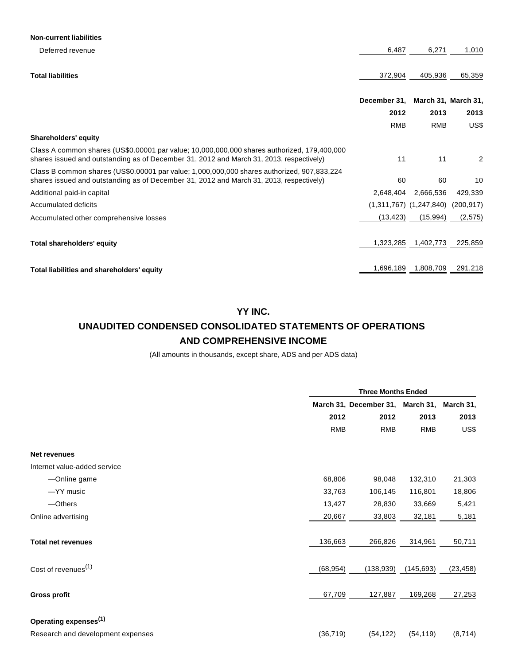| <b>Non-current liabilities</b>                                                                                                                                                         |                                  |                             |            |
|----------------------------------------------------------------------------------------------------------------------------------------------------------------------------------------|----------------------------------|-----------------------------|------------|
| Deferred revenue                                                                                                                                                                       | 6,487                            | 6,271                       | 1,010      |
| <b>Total liabilities</b>                                                                                                                                                               | 372,904                          | 405,936                     | 65,359     |
|                                                                                                                                                                                        | December 31, March 31, March 31, |                             |            |
|                                                                                                                                                                                        | 2012                             | 2013                        | 2013       |
|                                                                                                                                                                                        | <b>RMB</b>                       | <b>RMB</b>                  | US\$       |
| <b>Shareholders' equity</b>                                                                                                                                                            |                                  |                             |            |
| Class A common shares (US\$0.00001 par value; 10,000,000,000 shares authorized, 179,400,000<br>shares issued and outstanding as of December 31, 2012 and March 31, 2013, respectively) | 11                               | 11                          | 2          |
| Class B common shares (US\$0.00001 par value; 1,000,000,000 shares authorized, 907,833,224<br>shares issued and outstanding as of December 31, 2012 and March 31, 2013, respectively)  | 60                               | 60                          | 10         |
| Additional paid-in capital                                                                                                                                                             | 2,648,404                        | 2,666,536                   | 429,339    |
| Accumulated deficits                                                                                                                                                                   |                                  | $(1,311,767)$ $(1,247,840)$ | (200, 917) |
| Accumulated other comprehensive losses                                                                                                                                                 | (13, 423)                        | (15, 994)                   | (2, 575)   |
| <b>Total shareholders' equity</b>                                                                                                                                                      | 1,323,285                        | 1,402,773                   | 225,859    |
| Total liabilities and shareholders' equity                                                                                                                                             | 1,696,189                        | 1,808,709                   | 291,218    |

## **YY INC.**

# **UNAUDITED CONDENSED CONSOLIDATED STATEMENTS OF OPERATIONS AND COMPREHENSIVE INCOME**

(All amounts in thousands, except share, ADS and per ADS data)

|                                   |            | <b>Three Months Ended</b>        |            |           |
|-----------------------------------|------------|----------------------------------|------------|-----------|
|                                   |            | March 31, December 31, March 31, |            | March 31, |
|                                   | 2012       | 2012                             | 2013       | 2013      |
|                                   | <b>RMB</b> | <b>RMB</b>                       | <b>RMB</b> | US\$      |
| <b>Net revenues</b>               |            |                                  |            |           |
| Internet value-added service      |            |                                  |            |           |
| -Online game                      | 68,806     | 98,048                           | 132,310    | 21,303    |
| -YY music                         | 33,763     | 106,145                          | 116,801    | 18,806    |
| -Others                           | 13,427     | 28,830                           | 33,669     | 5,421     |
| Online advertising                | 20,667     | 33,803                           | 32,181     | 5,181     |
| <b>Total net revenues</b>         | 136,663    | 266,826                          | 314,961    | 50,711    |
| Cost of revenues <sup>(1)</sup>   | (68, 954)  | (138, 939)                       | (145, 693) | (23, 458) |
| <b>Gross profit</b>               | 67,709     | 127,887                          | 169,268    | 27,253    |
| Operating expenses <sup>(1)</sup> |            |                                  |            |           |
| Research and development expenses | (36, 719)  | (54, 122)                        | (54, 119)  | (8,714)   |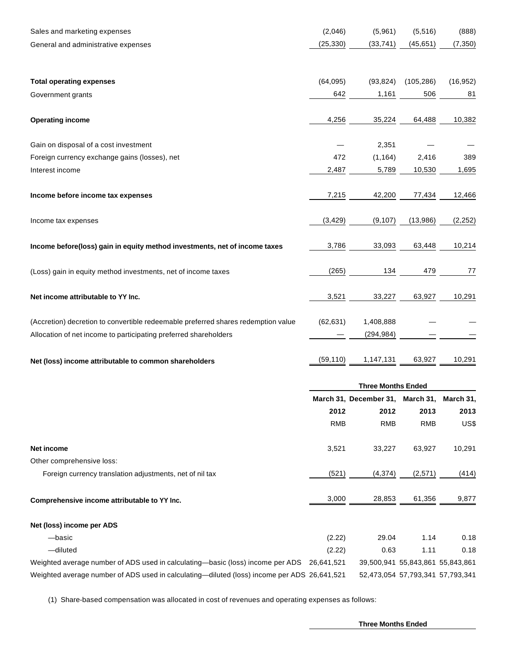| Sales and marketing expenses                                                              | (2,046)    | (5,961)                          | (5, 516)   | (888)                            |
|-------------------------------------------------------------------------------------------|------------|----------------------------------|------------|----------------------------------|
| General and administrative expenses                                                       | (25, 330)  | (33, 741)                        | (45, 651)  | (7, 350)                         |
|                                                                                           |            |                                  |            |                                  |
|                                                                                           |            |                                  |            |                                  |
| <b>Total operating expenses</b>                                                           | (64,095)   | (93, 824)                        | (105, 286) | (16, 952)                        |
| Government grants                                                                         | 642        | 1,161                            | 506        | 81                               |
| <b>Operating income</b>                                                                   | 4,256      | 35,224                           | 64,488     | 10,382                           |
| Gain on disposal of a cost investment                                                     |            | 2,351                            |            |                                  |
| Foreign currency exchange gains (losses), net                                             | 472        | (1, 164)                         | 2,416      | 389                              |
| Interest income                                                                           | 2,487      | 5,789                            | 10,530     | 1,695                            |
|                                                                                           |            |                                  |            |                                  |
| Income before income tax expenses                                                         | 7,215      | 42,200                           | 77,434     | 12,466                           |
| Income tax expenses                                                                       | (3, 429)   | (9, 107)                         | (13,986)   | (2, 252)                         |
|                                                                                           |            |                                  |            |                                  |
| Income before(loss) gain in equity method investments, net of income taxes                | 3,786      | 33,093                           | 63,448     | 10,214                           |
|                                                                                           |            |                                  |            |                                  |
| (Loss) gain in equity method investments, net of income taxes                             | (265)      | 134                              | 479        | 77                               |
|                                                                                           |            |                                  |            |                                  |
| Net income attributable to YY Inc.                                                        | 3,521      | 33,227                           | 63,927     | 10,291                           |
|                                                                                           |            |                                  |            |                                  |
| (Accretion) decretion to convertible redeemable preferred shares redemption value         | (62, 631)  | 1,408,888                        |            |                                  |
| Allocation of net income to participating preferred shareholders                          |            | (294, 984)                       |            |                                  |
| Net (loss) income attributable to common shareholders                                     | (59, 110)  | 1,147,131                        | 63,927     | 10,291                           |
|                                                                                           |            |                                  |            |                                  |
|                                                                                           |            | <b>Three Months Ended</b>        |            |                                  |
|                                                                                           |            | March 31, December 31, March 31, |            | March 31,                        |
|                                                                                           | 2012       | 2012                             | 2013       | 2013                             |
|                                                                                           | <b>RMB</b> | <b>RMB</b>                       | <b>RMB</b> | US\$                             |
| <b>Net income</b>                                                                         | 3,521      | 33,227                           | 63,927     | 10,291                           |
| Other comprehensive loss:                                                                 |            |                                  |            |                                  |
| Foreign currency translation adjustments, net of nil tax                                  | (521)      | (4, 374)                         | (2,571)    | (414)                            |
| Comprehensive income attributable to YY Inc.                                              | 3,000      | 28,853                           | 61,356     | 9,877                            |
| Net (loss) income per ADS                                                                 |            |                                  |            |                                  |
| -basic                                                                                    | (2.22)     | 29.04                            | 1.14       | 0.18                             |
| -diluted                                                                                  | (2.22)     | 0.63                             | 1.11       | 0.18                             |
| Weighted average number of ADS used in calculating—basic (loss) income per ADS 26,641,521 |            |                                  |            | 39,500,941 55,843,861 55,843,861 |

(1) Share-based compensation was allocated in cost of revenues and operating expenses as follows:

Weighted average number of ADS used in calculating—diluted (loss) income per ADS 26,641,521 52,473,054 57,793,341 57,793,341

**Three Months Ended**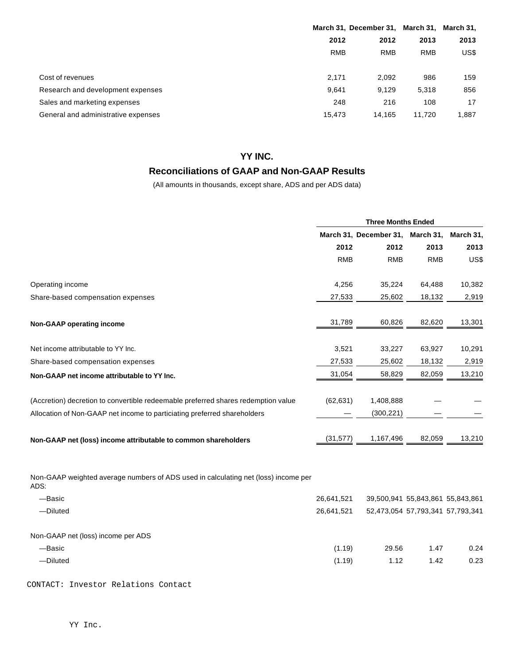|                                     |            | March 31, December 31, March 31, |            | March 31, |
|-------------------------------------|------------|----------------------------------|------------|-----------|
|                                     | 2012       | 2012                             | 2013       | 2013      |
|                                     | <b>RMB</b> | <b>RMB</b>                       | <b>RMB</b> | US\$      |
| Cost of revenues                    | 2.171      | 2,092                            | 986        | 159       |
| Research and development expenses   | 9,641      | 9.129                            | 5,318      | 856       |
| Sales and marketing expenses        | 248        | 216                              | 108        | 17        |
| General and administrative expenses | 15,473     | 14.165                           | 11,720     | 1,887     |

# **YY INC.**

# **Reconciliations of GAAP and Non-GAAP Results**

(All amounts in thousands, except share, ADS and per ADS data)

|                                                                                            | <b>Three Months Ended</b> |            |                                  |           |
|--------------------------------------------------------------------------------------------|---------------------------|------------|----------------------------------|-----------|
|                                                                                            | March 31, December 31,    |            | March 31,                        | March 31, |
|                                                                                            | 2012                      | 2012       | 2013                             | 2013      |
|                                                                                            | <b>RMB</b>                | <b>RMB</b> | <b>RMB</b>                       | US\$      |
| Operating income                                                                           | 4,256                     | 35,224     | 64,488                           | 10,382    |
| Share-based compensation expenses                                                          | 27,533                    | 25,602     | 18,132                           | 2,919     |
| <b>Non-GAAP operating income</b>                                                           | 31,789                    | 60,826     | 82,620                           | 13,301    |
| Net income attributable to YY Inc.                                                         | 3,521                     | 33,227     | 63,927                           | 10,291    |
| Share-based compensation expenses                                                          | 27,533                    | 25,602     | 18,132                           | 2,919     |
| Non-GAAP net income attributable to YY Inc.                                                | 31,054                    | 58,829     | 82,059                           | 13,210    |
| (Accretion) decretion to convertible redeemable preferred shares redemption value          | (62, 631)                 | 1,408,888  |                                  |           |
| Allocation of Non-GAAP net income to particiating preferred shareholders                   |                           | (300, 221) |                                  |           |
| Non-GAAP net (loss) income attributable to common shareholders                             | (31, 577)                 | 1,167,496  | 82,059                           | 13,210    |
| Non-GAAP weighted average numbers of ADS used in calculating net (loss) income per<br>ADS: |                           |            |                                  |           |
| -Basic                                                                                     | 26,641,521                |            | 39,500,941 55,843,861 55,843,861 |           |
| -Diluted                                                                                   | 26,641,521                |            | 52,473,054 57,793,341 57,793,341 |           |
| Non-GAAP net (loss) income per ADS                                                         |                           |            |                                  |           |
| -Basic                                                                                     | (1.19)                    | 29.56      | 1.47                             | 0.24      |
| -Diluted                                                                                   | (1.19)                    | 1.12       | 1.42                             | 0.23      |

CONTACT: Investor Relations Contact